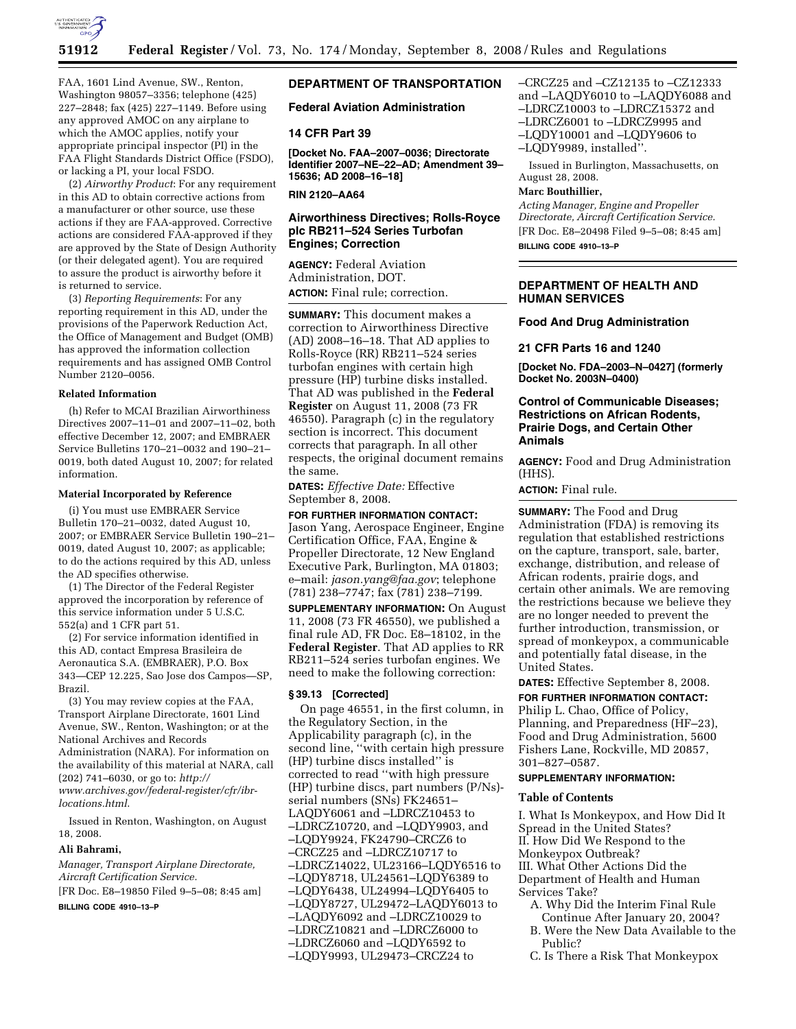

FAA, 1601 Lind Avenue, SW., Renton, Washington 98057–3356; telephone (425) 227–2848; fax (425) 227–1149. Before using any approved AMOC on any airplane to which the AMOC applies, notify your appropriate principal inspector (PI) in the FAA Flight Standards District Office (FSDO), or lacking a PI, your local FSDO.

(2) *Airworthy Product*: For any requirement in this AD to obtain corrective actions from a manufacturer or other source, use these actions if they are FAA-approved. Corrective actions are considered FAA-approved if they are approved by the State of Design Authority (or their delegated agent). You are required to assure the product is airworthy before it is returned to service.

(3) *Reporting Requirements*: For any reporting requirement in this AD, under the provisions of the Paperwork Reduction Act, the Office of Management and Budget (OMB) has approved the information collection requirements and has assigned OMB Control Number 2120–0056.

# **Related Information**

(h) Refer to MCAI Brazilian Airworthiness Directives 2007–11–01 and 2007–11–02, both effective December 12, 2007; and EMBRAER Service Bulletins 170–21–0032 and 190–21– 0019, both dated August 10, 2007; for related information.

### **Material Incorporated by Reference**

(i) You must use EMBRAER Service Bulletin 170–21–0032, dated August 10, 2007; or EMBRAER Service Bulletin 190–21– 0019, dated August 10, 2007; as applicable; to do the actions required by this AD, unless the AD specifies otherwise.

(1) The Director of the Federal Register approved the incorporation by reference of this service information under 5 U.S.C. 552(a) and 1 CFR part 51.

(2) For service information identified in this AD, contact Empresa Brasileira de Aeronautica S.A. (EMBRAER), P.O. Box 343—CEP 12.225, Sao Jose dos Campos—SP, Brazil.

(3) You may review copies at the FAA, Transport Airplane Directorate, 1601 Lind Avenue, SW., Renton, Washington; or at the National Archives and Records Administration (NARA). For information on the availability of this material at NARA, call (202) 741–6030, or go to: *http:// www.archives.gov/federal-register/cfr/ibrlocations.html*.

Issued in Renton, Washington, on August 18, 2008.

#### **Ali Bahrami,**

*Manager, Transport Airplane Directorate, Aircraft Certification Service.* 

[FR Doc. E8–19850 Filed 9–5–08; 8:45 am]

**BILLING CODE 4910–13–P** 

# **DEPARTMENT OF TRANSPORTATION**

#### **Federal Aviation Administration**

#### **14 CFR Part 39**

**[Docket No. FAA–2007–0036; Directorate Identifier 2007–NE–22–AD; Amendment 39– 15636; AD 2008–16–18]** 

**RIN 2120–AA64** 

# **Airworthiness Directives; Rolls-Royce plc RB211–524 Series Turbofan Engines; Correction**

**AGENCY:** Federal Aviation Administration, DOT. **ACTION:** Final rule; correction.

**SUMMARY:** This document makes a correction to Airworthiness Directive (AD) 2008–16–18. That AD applies to Rolls-Royce (RR) RB211–524 series turbofan engines with certain high pressure (HP) turbine disks installed. That AD was published in the **Federal Register** on August 11, 2008 (73 FR 46550). Paragraph (c) in the regulatory section is incorrect. This document corrects that paragraph. In all other respects, the original document remains the same.

**DATES:** *Effective Date:* Effective September 8, 2008.

**FOR FURTHER INFORMATION CONTACT:**  Jason Yang, Aerospace Engineer, Engine Certification Office, FAA, Engine & Propeller Directorate, 12 New England Executive Park, Burlington, MA 01803; e–mail: *jason.yang@faa.gov*; telephone (781) 238–7747; fax (781) 238–7199.

**SUPPLEMENTARY INFORMATION:** On August 11, 2008 (73 FR 46550), we published a final rule AD, FR Doc. E8–18102, in the **Federal Register**. That AD applies to RR RB211–524 series turbofan engines. We need to make the following correction:

#### **§ 39.13 [Corrected]**

On page 46551, in the first column, in the Regulatory Section, in the Applicability paragraph (c), in the second line, ''with certain high pressure (HP) turbine discs installed'' is corrected to read ''with high pressure (HP) turbine discs, part numbers (P/Ns) serial numbers (SNs) FK24651– LAQDY6061 and –LDRCZ10453 to –LDRCZ10720, and –LQDY9903, and –LQDY9924, FK24790–CRCZ6 to –CRCZ25 and –LDRCZ10717 to –LDRCZ14022, UL23166–LQDY6516 to –LQDY8718, UL24561–LQDY6389 to –LQDY6438, UL24994–LQDY6405 to –LQDY8727, UL29472–LAQDY6013 to –LAQDY6092 and –LDRCZ10029 to –LDRCZ10821 and –LDRCZ6000 to –LDRCZ6060 and –LQDY6592 to –LQDY9993, UL29473–CRCZ24 to

–CRCZ25 and –CZ12135 to –CZ12333

- and –LAQDY6010 to –LAQDY6088 and –LDRCZ10003 to –LDRCZ15372 and
- –LDRCZ6001 to –LDRCZ9995 and
- –LQDY10001 and –LQDY9606 to –LQDY9989, installed''.
- 

Issued in Burlington, Massachusetts, on August 28, 2008.

# **Marc Bouthillier,**

*Acting Manager, Engine and Propeller Directorate, Aircraft Certification Service.*  [FR Doc. E8–20498 Filed 9–5–08; 8:45 am] **BILLING CODE 4910–13–P** 

**DEPARTMENT OF HEALTH AND HUMAN SERVICES** 

# **Food And Drug Administration**

**21 CFR Parts 16 and 1240** 

**[Docket No. FDA–2003–N–0427] (formerly Docket No. 2003N–0400)** 

# **Control of Communicable Diseases; Restrictions on African Rodents, Prairie Dogs, and Certain Other Animals**

**AGENCY:** Food and Drug Administration (HHS).

**ACTION:** Final rule.

**SUMMARY:** The Food and Drug Administration (FDA) is removing its regulation that established restrictions on the capture, transport, sale, barter, exchange, distribution, and release of African rodents, prairie dogs, and certain other animals. We are removing the restrictions because we believe they are no longer needed to prevent the further introduction, transmission, or spread of monkeypox, a communicable and potentially fatal disease, in the United States.

**DATES:** Effective September 8, 2008. **FOR FURTHER INFORMATION CONTACT:**  Philip L. Chao, Office of Policy, Planning, and Preparedness (HF–23), Food and Drug Administration, 5600 Fishers Lane, Rockville, MD 20857, 301–827–0587.

# **SUPPLEMENTARY INFORMATION:**

#### **Table of Contents**

I. What Is Monkeypox, and How Did It Spread in the United States? II. How Did We Respond to the Monkeypox Outbreak? III. What Other Actions Did the Department of Health and Human Services Take?

- A. Why Did the Interim Final Rule Continue After January 20, 2004?
- B. Were the New Data Available to the Public?
- C. Is There a Risk That Monkeypox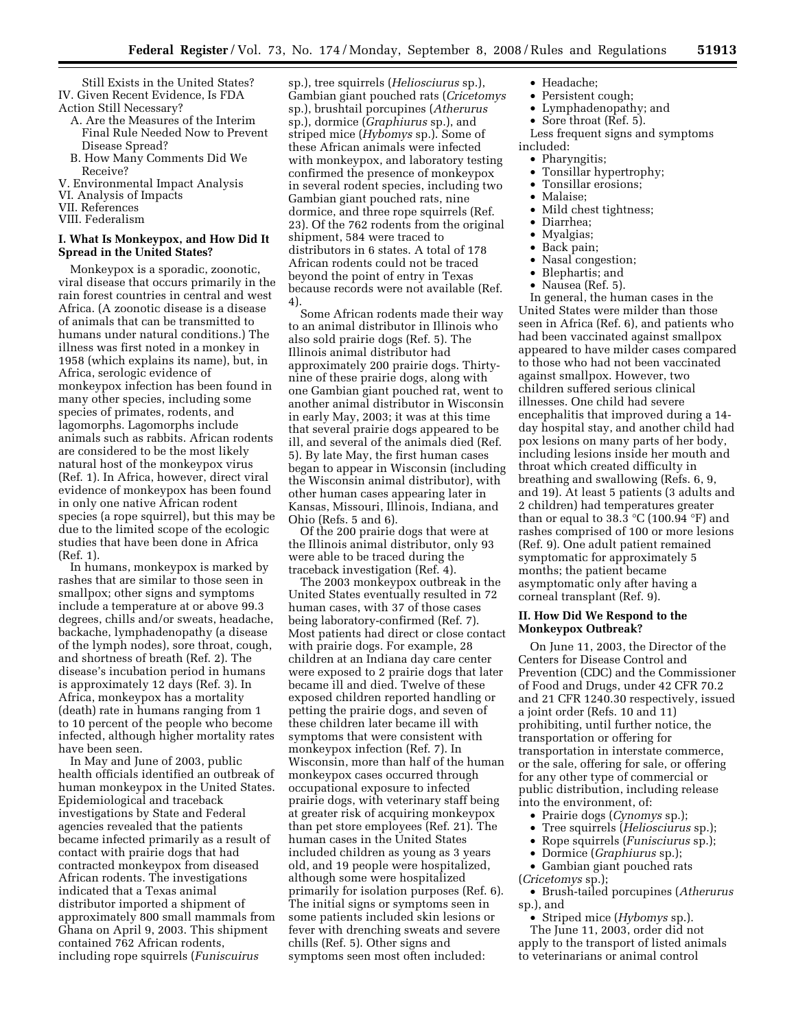Still Exists in the United States? IV. Given Recent Evidence, Is FDA Action Still Necessary?

- A. Are the Measures of the Interim Final Rule Needed Now to Prevent Disease Spread?
- B. How Many Comments Did We Receive?
- V. Environmental Impact Analysis
- VI. Analysis of Impacts
- VII. References
- VIII. Federalism

# **I. What Is Monkeypox, and How Did It Spread in the United States?**

Monkeypox is a sporadic, zoonotic, viral disease that occurs primarily in the rain forest countries in central and west Africa. (A zoonotic disease is a disease of animals that can be transmitted to humans under natural conditions.) The illness was first noted in a monkey in 1958 (which explains its name), but, in Africa, serologic evidence of monkeypox infection has been found in many other species, including some species of primates, rodents, and lagomorphs. Lagomorphs include animals such as rabbits. African rodents are considered to be the most likely natural host of the monkeypox virus (Ref. 1). In Africa, however, direct viral evidence of monkeypox has been found in only one native African rodent species (a rope squirrel), but this may be due to the limited scope of the ecologic studies that have been done in Africa (Ref. 1).

In humans, monkeypox is marked by rashes that are similar to those seen in smallpox; other signs and symptoms include a temperature at or above 99.3 degrees, chills and/or sweats, headache, backache, lymphadenopathy (a disease of the lymph nodes), sore throat, cough, and shortness of breath (Ref. 2). The disease's incubation period in humans is approximately 12 days (Ref. 3). In Africa, monkeypox has a mortality (death) rate in humans ranging from 1 to 10 percent of the people who become infected, although higher mortality rates have been seen.

In May and June of 2003, public health officials identified an outbreak of human monkeypox in the United States. Epidemiological and traceback investigations by State and Federal agencies revealed that the patients became infected primarily as a result of contact with prairie dogs that had contracted monkeypox from diseased African rodents. The investigations indicated that a Texas animal distributor imported a shipment of approximately 800 small mammals from Ghana on April 9, 2003. This shipment contained 762 African rodents, including rope squirrels (*Funiscuirus* 

sp.), tree squirrels (*Heliosciurus* sp.), Gambian giant pouched rats (*Cricetomys*  sp.), brushtail porcupines (*Atherurus*  sp.), dormice (*Graphiurus* sp.), and striped mice (*Hybomys* sp.). Some of these African animals were infected with monkeypox, and laboratory testing confirmed the presence of monkeypox in several rodent species, including two Gambian giant pouched rats, nine dormice, and three rope squirrels (Ref. 23). Of the 762 rodents from the original shipment, 584 were traced to distributors in 6 states. A total of 178 African rodents could not be traced beyond the point of entry in Texas because records were not available (Ref. 4).

Some African rodents made their way to an animal distributor in Illinois who also sold prairie dogs (Ref. 5). The Illinois animal distributor had approximately 200 prairie dogs. Thirtynine of these prairie dogs, along with one Gambian giant pouched rat, went to another animal distributor in Wisconsin in early May, 2003; it was at this time that several prairie dogs appeared to be ill, and several of the animals died (Ref. 5). By late May, the first human cases began to appear in Wisconsin (including the Wisconsin animal distributor), with other human cases appearing later in Kansas, Missouri, Illinois, Indiana, and Ohio (Refs. 5 and 6).

Of the 200 prairie dogs that were at the Illinois animal distributor, only 93 were able to be traced during the traceback investigation (Ref. 4).

The 2003 monkeypox outbreak in the United States eventually resulted in 72 human cases, with 37 of those cases being laboratory-confirmed (Ref. 7). Most patients had direct or close contact with prairie dogs. For example, 28 children at an Indiana day care center were exposed to 2 prairie dogs that later became ill and died. Twelve of these exposed children reported handling or petting the prairie dogs, and seven of these children later became ill with symptoms that were consistent with monkeypox infection (Ref. 7). In Wisconsin, more than half of the human monkeypox cases occurred through occupational exposure to infected prairie dogs, with veterinary staff being at greater risk of acquiring monkeypox than pet store employees (Ref. 21). The human cases in the United States included children as young as 3 years old, and 19 people were hospitalized, although some were hospitalized primarily for isolation purposes (Ref. 6). The initial signs or symptoms seen in some patients included skin lesions or fever with drenching sweats and severe chills (Ref. 5). Other signs and symptoms seen most often included:

- Headache;
- Persistent cough;
- Lymphadenopathy; and
- Sore throat (Ref. 5).

Less frequent signs and symptoms included:

- Pharyngitis;<br>• Tonsillar hy
- Tonsillar hypertrophy;<br>• Tonsillar erosions:
- Tonsillar erosions;
- Malaise;
- Mild chest tightness;
- Diarrhea;
- Myalgias;
- Back pain;
- Nasal congestion;
- Blephartis; and
- Nausea (Ref. 5).

In general, the human cases in the United States were milder than those seen in Africa (Ref. 6), and patients who had been vaccinated against smallpox appeared to have milder cases compared to those who had not been vaccinated against smallpox. However, two children suffered serious clinical illnesses. One child had severe encephalitis that improved during a 14 day hospital stay, and another child had pox lesions on many parts of her body, including lesions inside her mouth and throat which created difficulty in breathing and swallowing (Refs. 6, 9, and 19). At least 5 patients (3 adults and 2 children) had temperatures greater than or equal to 38.3  $\mathrm{C}$  (100.94  $\mathrm{F}$ ) and rashes comprised of 100 or more lesions (Ref. 9). One adult patient remained symptomatic for approximately 5 months; the patient became asymptomatic only after having a corneal transplant (Ref. 9).

# **II. How Did We Respond to the Monkeypox Outbreak?**

On June 11, 2003, the Director of the Centers for Disease Control and Prevention (CDC) and the Commissioner of Food and Drugs, under 42 CFR 70.2 and 21 CFR 1240.30 respectively, issued a joint order (Refs. 10 and 11) prohibiting, until further notice, the transportation or offering for transportation in interstate commerce, or the sale, offering for sale, or offering for any other type of commercial or public distribution, including release into the environment, of:

- Prairie dogs (*Cynomys* sp.);
- Tree squirrels (*Heliosciurus* sp.);
- Rope squirrels (*Funisciurus* sp.);
- Dormice (*Graphiurus* sp.);

• Gambian giant pouched rats (*Cricetomys* sp.);

• Brush-tailed porcupines (*Atherurus*  sp.), and

• Striped mice (*Hybomys* sp.). The June 11, 2003, order did not apply to the transport of listed animals to veterinarians or animal control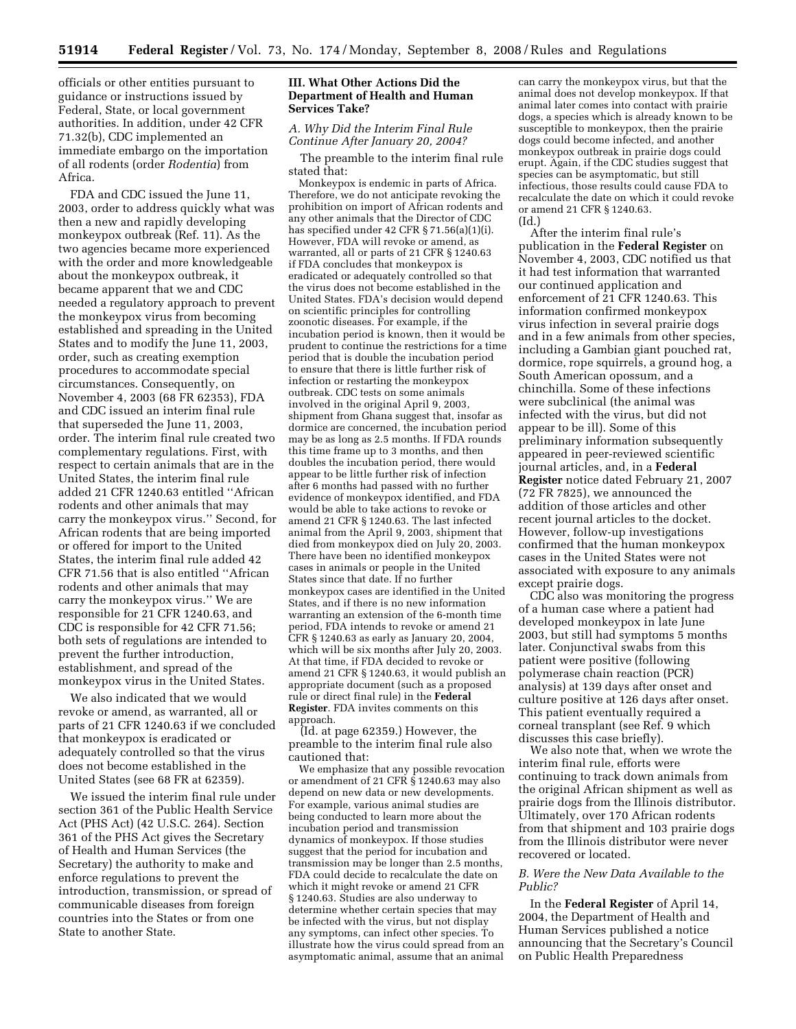officials or other entities pursuant to guidance or instructions issued by Federal, State, or local government authorities. In addition, under 42 CFR 71.32(b), CDC implemented an immediate embargo on the importation of all rodents (order *Rodentia*) from Africa.

FDA and CDC issued the June 11, 2003, order to address quickly what was then a new and rapidly developing monkeypox outbreak (Ref. 11). As the two agencies became more experienced with the order and more knowledgeable about the monkeypox outbreak, it became apparent that we and CDC needed a regulatory approach to prevent the monkeypox virus from becoming established and spreading in the United States and to modify the June 11, 2003, order, such as creating exemption procedures to accommodate special circumstances. Consequently, on November 4, 2003 (68 FR 62353), FDA and CDC issued an interim final rule that superseded the June 11, 2003, order. The interim final rule created two complementary regulations. First, with respect to certain animals that are in the United States, the interim final rule added 21 CFR 1240.63 entitled ''African rodents and other animals that may carry the monkeypox virus.'' Second, for African rodents that are being imported or offered for import to the United States, the interim final rule added 42 CFR 71.56 that is also entitled ''African rodents and other animals that may carry the monkeypox virus.'' We are responsible for 21 CFR 1240.63, and CDC is responsible for 42 CFR 71.56; both sets of regulations are intended to prevent the further introduction, establishment, and spread of the monkeypox virus in the United States.

We also indicated that we would revoke or amend, as warranted, all or parts of 21 CFR 1240.63 if we concluded that monkeypox is eradicated or adequately controlled so that the virus does not become established in the United States (see 68 FR at 62359).

We issued the interim final rule under section 361 of the Public Health Service Act (PHS Act) (42 U.S.C. 264). Section 361 of the PHS Act gives the Secretary of Health and Human Services (the Secretary) the authority to make and enforce regulations to prevent the introduction, transmission, or spread of communicable diseases from foreign countries into the States or from one State to another State.

# **III. What Other Actions Did the Department of Health and Human Services Take?**

# *A. Why Did the Interim Final Rule Continue After January 20, 2004?*

The preamble to the interim final rule stated that:

Monkeypox is endemic in parts of Africa. Therefore, we do not anticipate revoking the prohibition on import of African rodents and any other animals that the Director of CDC has specified under 42 CFR § 71.56(a)(1)(i). However, FDA will revoke or amend, as warranted, all or parts of 21 CFR § 1240.63 if FDA concludes that monkeypox is eradicated or adequately controlled so that the virus does not become established in the United States. FDA's decision would depend on scientific principles for controlling zoonotic diseases. For example, if the incubation period is known, then it would be prudent to continue the restrictions for a time period that is double the incubation period to ensure that there is little further risk of infection or restarting the monkeypox outbreak. CDC tests on some animals involved in the original April 9, 2003, shipment from Ghana suggest that, insofar as dormice are concerned, the incubation period may be as long as 2.5 months. If FDA rounds this time frame up to 3 months, and then doubles the incubation period, there would appear to be little further risk of infection after 6 months had passed with no further evidence of monkeypox identified, and FDA would be able to take actions to revoke or amend 21 CFR § 1240.63. The last infected animal from the April 9, 2003, shipment that died from monkeypox died on July 20, 2003. There have been no identified monkeypox cases in animals or people in the United States since that date. If no further monkeypox cases are identified in the United States, and if there is no new information warranting an extension of the 6-month time period, FDA intends to revoke or amend 21 CFR § 1240.63 as early as January 20, 2004, which will be six months after July 20, 2003. At that time, if FDA decided to revoke or amend 21 CFR § 1240.63, it would publish an appropriate document (such as a proposed rule or direct final rule) in the **Federal Register**. FDA invites comments on this approach.

(Id. at page 62359.) However, the preamble to the interim final rule also cautioned that:

We emphasize that any possible revocation or amendment of 21 CFR § 1240.63 may also depend on new data or new developments. For example, various animal studies are being conducted to learn more about the incubation period and transmission dynamics of monkeypox. If those studies suggest that the period for incubation and transmission may be longer than 2.5 months, FDA could decide to recalculate the date on which it might revoke or amend 21 CFR § 1240.63. Studies are also underway to determine whether certain species that may be infected with the virus, but not display any symptoms, can infect other species. To illustrate how the virus could spread from an asymptomatic animal, assume that an animal

can carry the monkeypox virus, but that the animal does not develop monkeypox. If that animal later comes into contact with prairie dogs, a species which is already known to be susceptible to monkeypox, then the prairie dogs could become infected, and another monkeypox outbreak in prairie dogs could erupt. Again, if the CDC studies suggest that species can be asymptomatic, but still infectious, those results could cause FDA to recalculate the date on which it could revoke or amend 21 CFR § 1240.63. (Id.)

After the interim final rule's publication in the **Federal Register** on November 4, 2003, CDC notified us that it had test information that warranted our continued application and enforcement of 21 CFR 1240.63. This information confirmed monkeypox virus infection in several prairie dogs and in a few animals from other species, including a Gambian giant pouched rat, dormice, rope squirrels, a ground hog, a South American opossum, and a chinchilla. Some of these infections were subclinical (the animal was infected with the virus, but did not appear to be ill). Some of this preliminary information subsequently appeared in peer-reviewed scientific journal articles, and, in a **Federal Register** notice dated February 21, 2007 (72 FR 7825), we announced the addition of those articles and other recent journal articles to the docket. However, follow-up investigations confirmed that the human monkeypox cases in the United States were not associated with exposure to any animals except prairie dogs.

CDC also was monitoring the progress of a human case where a patient had developed monkeypox in late June 2003, but still had symptoms 5 months later. Conjunctival swabs from this patient were positive (following polymerase chain reaction (PCR) analysis) at 139 days after onset and culture positive at 126 days after onset. This patient eventually required a corneal transplant (see Ref. 9 which discusses this case briefly).

We also note that, when we wrote the interim final rule, efforts were continuing to track down animals from the original African shipment as well as prairie dogs from the Illinois distributor. Ultimately, over 170 African rodents from that shipment and 103 prairie dogs from the Illinois distributor were never recovered or located.

## *B. Were the New Data Available to the Public?*

In the **Federal Register** of April 14, 2004, the Department of Health and Human Services published a notice announcing that the Secretary's Council on Public Health Preparedness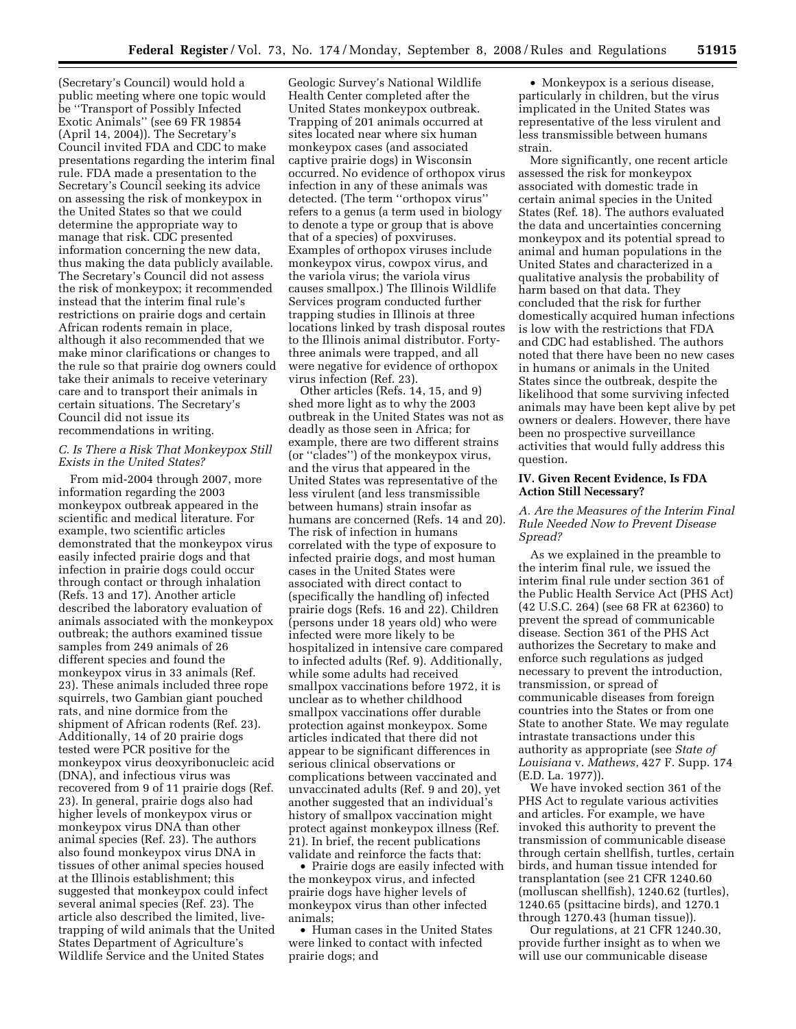(Secretary's Council) would hold a public meeting where one topic would be ''Transport of Possibly Infected Exotic Animals'' (see 69 FR 19854 (April 14, 2004)). The Secretary's Council invited FDA and CDC to make presentations regarding the interim final rule. FDA made a presentation to the Secretary's Council seeking its advice on assessing the risk of monkeypox in the United States so that we could determine the appropriate way to manage that risk. CDC presented information concerning the new data, thus making the data publicly available. The Secretary's Council did not assess the risk of monkeypox; it recommended instead that the interim final rule's restrictions on prairie dogs and certain African rodents remain in place, although it also recommended that we make minor clarifications or changes to the rule so that prairie dog owners could take their animals to receive veterinary care and to transport their animals in certain situations. The Secretary's Council did not issue its recommendations in writing.

# *C. Is There a Risk That Monkeypox Still Exists in the United States?*

From mid-2004 through 2007, more information regarding the 2003 monkeypox outbreak appeared in the scientific and medical literature. For example, two scientific articles demonstrated that the monkeypox virus easily infected prairie dogs and that infection in prairie dogs could occur through contact or through inhalation (Refs. 13 and 17). Another article described the laboratory evaluation of animals associated with the monkeypox outbreak; the authors examined tissue samples from 249 animals of 26 different species and found the monkeypox virus in 33 animals (Ref. 23). These animals included three rope squirrels, two Gambian giant pouched rats, and nine dormice from the shipment of African rodents (Ref. 23). Additionally, 14 of 20 prairie dogs tested were PCR positive for the monkeypox virus deoxyribonucleic acid (DNA), and infectious virus was recovered from 9 of 11 prairie dogs (Ref. 23). In general, prairie dogs also had higher levels of monkeypox virus or monkeypox virus DNA than other animal species (Ref. 23). The authors also found monkeypox virus DNA in tissues of other animal species housed at the Illinois establishment; this suggested that monkeypox could infect several animal species (Ref. 23). The article also described the limited, livetrapping of wild animals that the United States Department of Agriculture's Wildlife Service and the United States

Geologic Survey's National Wildlife Health Center completed after the United States monkeypox outbreak. Trapping of 201 animals occurred at sites located near where six human monkeypox cases (and associated captive prairie dogs) in Wisconsin occurred. No evidence of orthopox virus infection in any of these animals was detected. (The term ''orthopox virus'' refers to a genus (a term used in biology to denote a type or group that is above that of a species) of poxviruses. Examples of orthopox viruses include monkeypox virus, cowpox virus, and the variola virus; the variola virus causes smallpox.) The Illinois Wildlife Services program conducted further trapping studies in Illinois at three locations linked by trash disposal routes to the Illinois animal distributor. Fortythree animals were trapped, and all were negative for evidence of orthopox virus infection (Ref. 23).

Other articles (Refs. 14, 15, and 9) shed more light as to why the 2003 outbreak in the United States was not as deadly as those seen in Africa; for example, there are two different strains (or ''clades'') of the monkeypox virus, and the virus that appeared in the United States was representative of the less virulent (and less transmissible between humans) strain insofar as humans are concerned (Refs. 14 and 20). The risk of infection in humans correlated with the type of exposure to infected prairie dogs, and most human cases in the United States were associated with direct contact to (specifically the handling of) infected prairie dogs (Refs. 16 and 22). Children (persons under 18 years old) who were infected were more likely to be hospitalized in intensive care compared to infected adults (Ref. 9). Additionally, while some adults had received smallpox vaccinations before 1972, it is unclear as to whether childhood smallpox vaccinations offer durable protection against monkeypox. Some articles indicated that there did not appear to be significant differences in serious clinical observations or complications between vaccinated and unvaccinated adults (Ref. 9 and 20), yet another suggested that an individual's history of smallpox vaccination might protect against monkeypox illness (Ref. 21). In brief, the recent publications validate and reinforce the facts that:

• Prairie dogs are easily infected with the monkeypox virus, and infected prairie dogs have higher levels of monkeypox virus than other infected animals;

• Human cases in the United States were linked to contact with infected prairie dogs; and

• Monkeypox is a serious disease, particularly in children, but the virus implicated in the United States was representative of the less virulent and less transmissible between humans strain.

More significantly, one recent article assessed the risk for monkeypox associated with domestic trade in certain animal species in the United States (Ref. 18). The authors evaluated the data and uncertainties concerning monkeypox and its potential spread to animal and human populations in the United States and characterized in a qualitative analysis the probability of harm based on that data. They concluded that the risk for further domestically acquired human infections is low with the restrictions that FDA and CDC had established. The authors noted that there have been no new cases in humans or animals in the United States since the outbreak, despite the likelihood that some surviving infected animals may have been kept alive by pet owners or dealers. However, there have been no prospective surveillance activities that would fully address this question.

# **IV. Given Recent Evidence, Is FDA Action Still Necessary?**

*A. Are the Measures of the Interim Final Rule Needed Now to Prevent Disease Spread?* 

As we explained in the preamble to the interim final rule, we issued the interim final rule under section 361 of the Public Health Service Act (PHS Act) (42 U.S.C. 264) (see 68 FR at 62360) to prevent the spread of communicable disease. Section 361 of the PHS Act authorizes the Secretary to make and enforce such regulations as judged necessary to prevent the introduction, transmission, or spread of communicable diseases from foreign countries into the States or from one State to another State. We may regulate intrastate transactions under this authority as appropriate (see *State of Louisiana* v. *Mathews*, 427 F. Supp. 174 (E.D. La. 1977)).

We have invoked section 361 of the PHS Act to regulate various activities and articles. For example, we have invoked this authority to prevent the transmission of communicable disease through certain shellfish, turtles, certain birds, and human tissue intended for transplantation (see 21 CFR 1240.60 (molluscan shellfish), 1240.62 (turtles), 1240.65 (psittacine birds), and 1270.1 through 1270.43 (human tissue)).

Our regulations, at 21 CFR 1240.30, provide further insight as to when we will use our communicable disease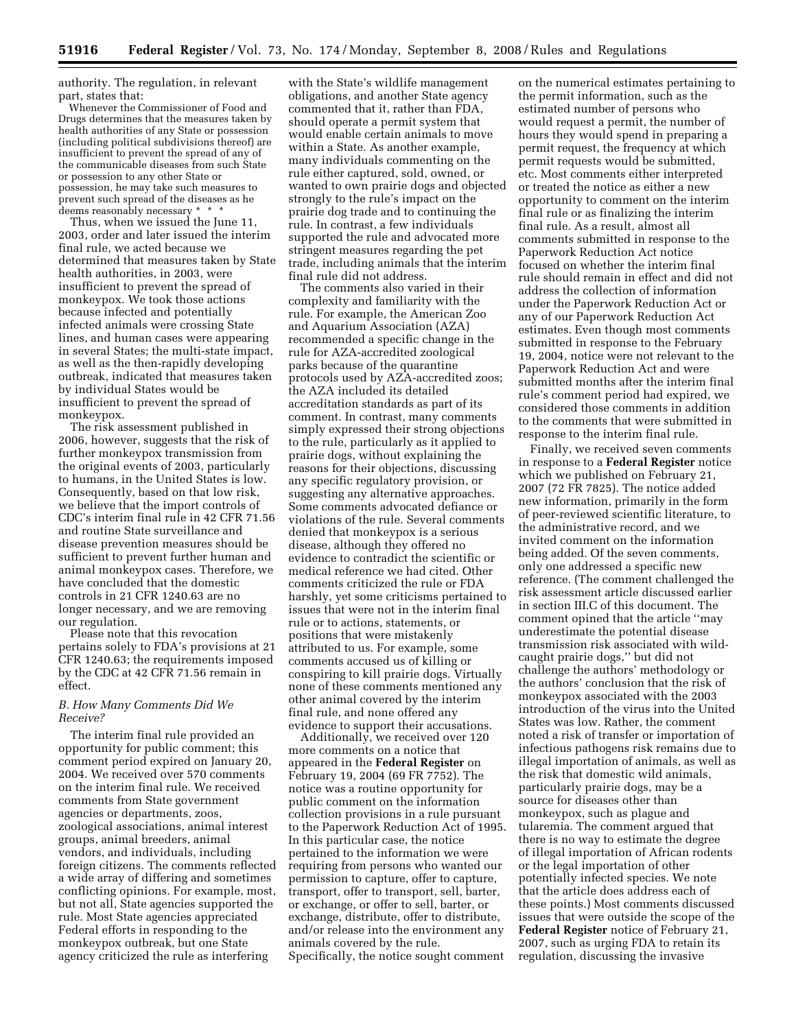authority. The regulation, in relevant part, states that:

Whenever the Commissioner of Food and Drugs determines that the measures taken by health authorities of any State or possession (including political subdivisions thereof) are insufficient to prevent the spread of any of the communicable diseases from such State or possession to any other State or possession, he may take such measures to prevent such spread of the diseases as he deems reasonably necessary \* \* \*

Thus, when we issued the June 11, 2003, order and later issued the interim final rule, we acted because we determined that measures taken by State health authorities, in 2003, were insufficient to prevent the spread of monkeypox. We took those actions because infected and potentially infected animals were crossing State lines, and human cases were appearing in several States; the multi-state impact, as well as the then-rapidly developing outbreak, indicated that measures taken by individual States would be insufficient to prevent the spread of monkeypox.

The risk assessment published in 2006, however, suggests that the risk of further monkeypox transmission from the original events of 2003, particularly to humans, in the United States is low. Consequently, based on that low risk, we believe that the import controls of CDC's interim final rule in 42 CFR 71.56 and routine State surveillance and disease prevention measures should be sufficient to prevent further human and animal monkeypox cases. Therefore, we have concluded that the domestic controls in 21 CFR 1240.63 are no longer necessary, and we are removing our regulation.

Please note that this revocation pertains solely to FDA's provisions at 21 CFR 1240.63; the requirements imposed by the CDC at 42 CFR 71.56 remain in effect.

### *B. How Many Comments Did We Receive?*

The interim final rule provided an opportunity for public comment; this comment period expired on January 20, 2004. We received over 570 comments on the interim final rule. We received comments from State government agencies or departments, zoos, zoological associations, animal interest groups, animal breeders, animal vendors, and individuals, including foreign citizens. The comments reflected a wide array of differing and sometimes conflicting opinions. For example, most, but not all, State agencies supported the rule. Most State agencies appreciated Federal efforts in responding to the monkeypox outbreak, but one State agency criticized the rule as interfering

with the State's wildlife management obligations, and another State agency commented that it, rather than FDA, should operate a permit system that would enable certain animals to move within a State. As another example, many individuals commenting on the rule either captured, sold, owned, or wanted to own prairie dogs and objected strongly to the rule's impact on the prairie dog trade and to continuing the rule. In contrast, a few individuals supported the rule and advocated more stringent measures regarding the pet trade, including animals that the interim final rule did not address.

The comments also varied in their complexity and familiarity with the rule. For example, the American Zoo and Aquarium Association (AZA) recommended a specific change in the rule for AZA-accredited zoological parks because of the quarantine protocols used by AZA-accredited zoos; the AZA included its detailed accreditation standards as part of its comment. In contrast, many comments simply expressed their strong objections to the rule, particularly as it applied to prairie dogs, without explaining the reasons for their objections, discussing any specific regulatory provision, or suggesting any alternative approaches. Some comments advocated defiance or violations of the rule. Several comments denied that monkeypox is a serious disease, although they offered no evidence to contradict the scientific or medical reference we had cited. Other comments criticized the rule or FDA harshly, yet some criticisms pertained to issues that were not in the interim final rule or to actions, statements, or positions that were mistakenly attributed to us. For example, some comments accused us of killing or conspiring to kill prairie dogs. Virtually none of these comments mentioned any other animal covered by the interim final rule, and none offered any evidence to support their accusations.

Additionally, we received over 120 more comments on a notice that appeared in the **Federal Register** on February 19, 2004 (69 FR 7752). The notice was a routine opportunity for public comment on the information collection provisions in a rule pursuant to the Paperwork Reduction Act of 1995. In this particular case, the notice pertained to the information we were requiring from persons who wanted our permission to capture, offer to capture, transport, offer to transport, sell, barter, or exchange, or offer to sell, barter, or exchange, distribute, offer to distribute, and/or release into the environment any animals covered by the rule. Specifically, the notice sought comment

on the numerical estimates pertaining to the permit information, such as the estimated number of persons who would request a permit, the number of hours they would spend in preparing a permit request, the frequency at which permit requests would be submitted, etc. Most comments either interpreted or treated the notice as either a new opportunity to comment on the interim final rule or as finalizing the interim final rule. As a result, almost all comments submitted in response to the Paperwork Reduction Act notice focused on whether the interim final rule should remain in effect and did not address the collection of information under the Paperwork Reduction Act or any of our Paperwork Reduction Act estimates. Even though most comments submitted in response to the February 19, 2004, notice were not relevant to the Paperwork Reduction Act and were submitted months after the interim final rule's comment period had expired, we considered those comments in addition to the comments that were submitted in response to the interim final rule.

Finally, we received seven comments in response to a **Federal Register** notice which we published on February 21, 2007 (72 FR 7825). The notice added new information, primarily in the form of peer-reviewed scientific literature, to the administrative record, and we invited comment on the information being added. Of the seven comments, only one addressed a specific new reference. (The comment challenged the risk assessment article discussed earlier in section III.C of this document. The comment opined that the article ''may underestimate the potential disease transmission risk associated with wildcaught prairie dogs,'' but did not challenge the authors' methodology or the authors' conclusion that the risk of monkeypox associated with the 2003 introduction of the virus into the United States was low. Rather, the comment noted a risk of transfer or importation of infectious pathogens risk remains due to illegal importation of animals, as well as the risk that domestic wild animals, particularly prairie dogs, may be a source for diseases other than monkeypox, such as plague and tularemia. The comment argued that there is no way to estimate the degree of illegal importation of African rodents or the legal importation of other potentially infected species. We note that the article does address each of these points.) Most comments discussed issues that were outside the scope of the **Federal Register** notice of February 21, 2007, such as urging FDA to retain its regulation, discussing the invasive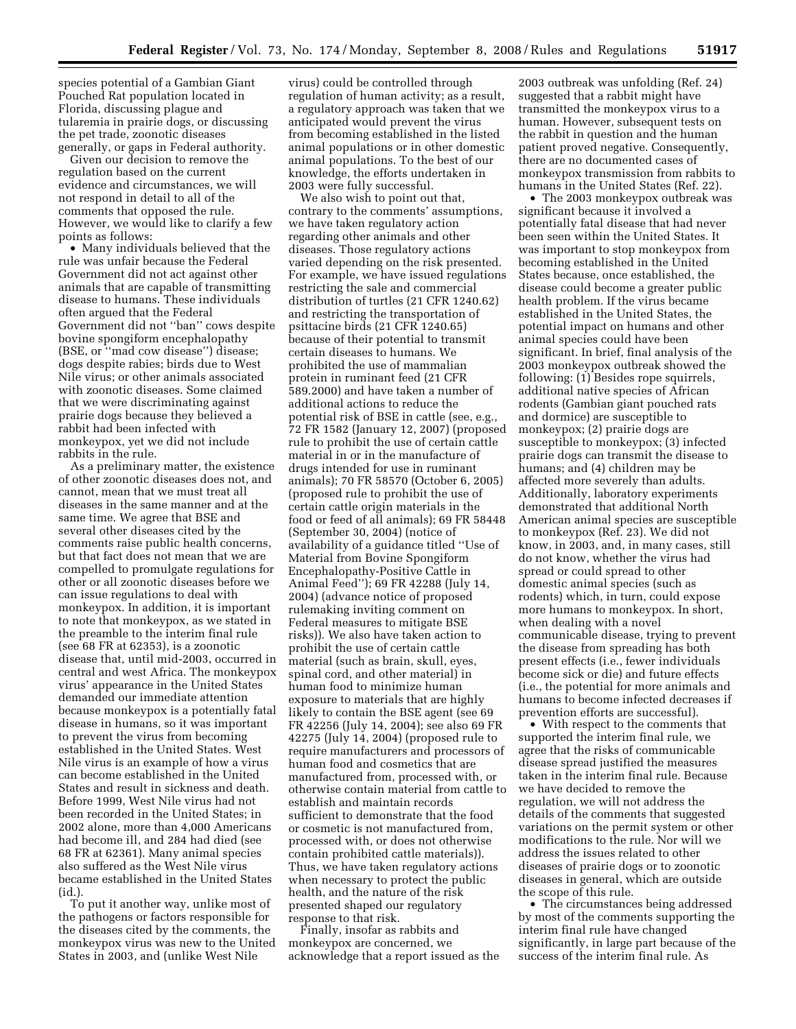species potential of a Gambian Giant Pouched Rat population located in Florida, discussing plague and tularemia in prairie dogs, or discussing the pet trade, zoonotic diseases generally, or gaps in Federal authority.

Given our decision to remove the regulation based on the current evidence and circumstances, we will not respond in detail to all of the comments that opposed the rule. However, we would like to clarify a few points as follows:

• Many individuals believed that the rule was unfair because the Federal Government did not act against other animals that are capable of transmitting disease to humans. These individuals often argued that the Federal Government did not ''ban'' cows despite bovine spongiform encephalopathy (BSE, or ''mad cow disease'') disease; dogs despite rabies; birds due to West Nile virus; or other animals associated with zoonotic diseases. Some claimed that we were discriminating against prairie dogs because they believed a rabbit had been infected with monkeypox, yet we did not include rabbits in the rule.

As a preliminary matter, the existence of other zoonotic diseases does not, and cannot, mean that we must treat all diseases in the same manner and at the same time. We agree that BSE and several other diseases cited by the comments raise public health concerns, but that fact does not mean that we are compelled to promulgate regulations for other or all zoonotic diseases before we can issue regulations to deal with monkeypox. In addition, it is important to note that monkeypox, as we stated in the preamble to the interim final rule (see 68 FR at 62353), is a zoonotic disease that, until mid-2003, occurred in central and west Africa. The monkeypox virus' appearance in the United States demanded our immediate attention because monkeypox is a potentially fatal disease in humans, so it was important to prevent the virus from becoming established in the United States. West Nile virus is an example of how a virus can become established in the United States and result in sickness and death. Before 1999, West Nile virus had not been recorded in the United States; in 2002 alone, more than 4,000 Americans had become ill, and 284 had died (see 68 FR at 62361). Many animal species also suffered as the West Nile virus became established in the United States (id.).

To put it another way, unlike most of the pathogens or factors responsible for the diseases cited by the comments, the monkeypox virus was new to the United States in 2003, and (unlike West Nile

virus) could be controlled through regulation of human activity; as a result, a regulatory approach was taken that we anticipated would prevent the virus from becoming established in the listed animal populations or in other domestic animal populations. To the best of our knowledge, the efforts undertaken in 2003 were fully successful.

We also wish to point out that, contrary to the comments' assumptions, we have taken regulatory action regarding other animals and other diseases. Those regulatory actions varied depending on the risk presented. For example, we have issued regulations restricting the sale and commercial distribution of turtles (21 CFR 1240.62) and restricting the transportation of psittacine birds (21 CFR 1240.65) because of their potential to transmit certain diseases to humans. We prohibited the use of mammalian protein in ruminant feed (21 CFR 589.2000) and have taken a number of additional actions to reduce the potential risk of BSE in cattle (see, e.g., 72 FR 1582 (January 12, 2007) (proposed rule to prohibit the use of certain cattle material in or in the manufacture of drugs intended for use in ruminant animals); 70 FR 58570 (October 6, 2005) (proposed rule to prohibit the use of certain cattle origin materials in the food or feed of all animals); 69 FR 58448 (September 30, 2004) (notice of availability of a guidance titled ''Use of Material from Bovine Spongiform Encephalopathy-Positive Cattle in Animal Feed''); 69 FR 42288 (July 14, 2004) (advance notice of proposed rulemaking inviting comment on Federal measures to mitigate BSE risks)). We also have taken action to prohibit the use of certain cattle material (such as brain, skull, eyes, spinal cord, and other material) in human food to minimize human exposure to materials that are highly likely to contain the BSE agent (see 69 FR 42256 (July 14, 2004); see also 69 FR 42275 (July 14, 2004) (proposed rule to require manufacturers and processors of human food and cosmetics that are manufactured from, processed with, or otherwise contain material from cattle to establish and maintain records sufficient to demonstrate that the food or cosmetic is not manufactured from, processed with, or does not otherwise contain prohibited cattle materials)). Thus, we have taken regulatory actions when necessary to protect the public health, and the nature of the risk presented shaped our regulatory response to that risk.

Finally, insofar as rabbits and monkeypox are concerned, we acknowledge that a report issued as the

2003 outbreak was unfolding (Ref. 24) suggested that a rabbit might have transmitted the monkeypox virus to a human. However, subsequent tests on the rabbit in question and the human patient proved negative. Consequently, there are no documented cases of monkeypox transmission from rabbits to humans in the United States (Ref. 22).

• The 2003 monkeypox outbreak was significant because it involved a potentially fatal disease that had never been seen within the United States. It was important to stop monkeypox from becoming established in the United States because, once established, the disease could become a greater public health problem. If the virus became established in the United States, the potential impact on humans and other animal species could have been significant. In brief, final analysis of the 2003 monkeypox outbreak showed the following: (1) Besides rope squirrels, additional native species of African rodents (Gambian giant pouched rats and dormice) are susceptible to monkeypox; (2) prairie dogs are susceptible to monkeypox; (3) infected prairie dogs can transmit the disease to humans; and (4) children may be affected more severely than adults. Additionally, laboratory experiments demonstrated that additional North American animal species are susceptible to monkeypox (Ref. 23). We did not know, in 2003, and, in many cases, still do not know, whether the virus had spread or could spread to other domestic animal species (such as rodents) which, in turn, could expose more humans to monkeypox. In short, when dealing with a novel communicable disease, trying to prevent the disease from spreading has both present effects (i.e., fewer individuals become sick or die) and future effects (i.e., the potential for more animals and humans to become infected decreases if prevention efforts are successful).

• With respect to the comments that supported the interim final rule, we agree that the risks of communicable disease spread justified the measures taken in the interim final rule. Because we have decided to remove the regulation, we will not address the details of the comments that suggested variations on the permit system or other modifications to the rule. Nor will we address the issues related to other diseases of prairie dogs or to zoonotic diseases in general, which are outside the scope of this rule.

• The circumstances being addressed by most of the comments supporting the interim final rule have changed significantly, in large part because of the success of the interim final rule. As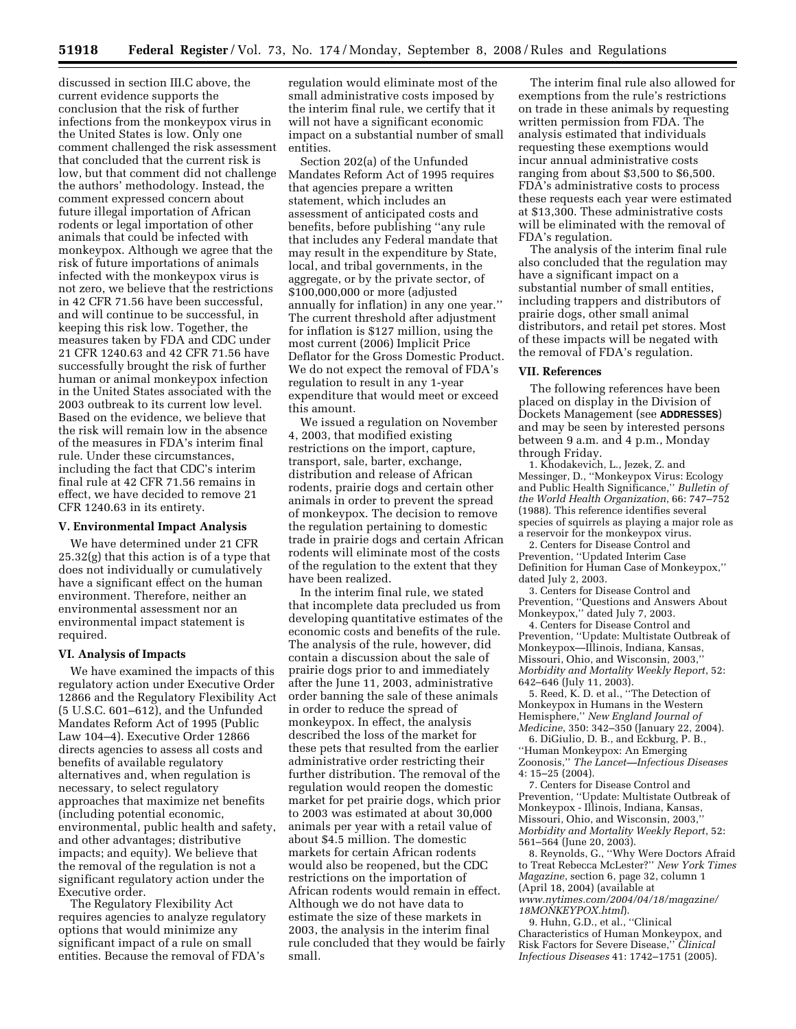discussed in section III.C above, the current evidence supports the conclusion that the risk of further infections from the monkeypox virus in the United States is low. Only one comment challenged the risk assessment that concluded that the current risk is low, but that comment did not challenge the authors' methodology. Instead, the comment expressed concern about future illegal importation of African rodents or legal importation of other animals that could be infected with monkeypox. Although we agree that the risk of future importations of animals infected with the monkeypox virus is not zero, we believe that the restrictions in 42 CFR 71.56 have been successful, and will continue to be successful, in keeping this risk low. Together, the measures taken by FDA and CDC under 21 CFR 1240.63 and 42 CFR 71.56 have successfully brought the risk of further human or animal monkeypox infection in the United States associated with the 2003 outbreak to its current low level. Based on the evidence, we believe that the risk will remain low in the absence of the measures in FDA's interim final rule. Under these circumstances, including the fact that CDC's interim final rule at 42 CFR 71.56 remains in effect, we have decided to remove 21 CFR 1240.63 in its entirety.

#### **V. Environmental Impact Analysis**

We have determined under 21 CFR 25.32(g) that this action is of a type that does not individually or cumulatively have a significant effect on the human environment. Therefore, neither an environmental assessment nor an environmental impact statement is required.

#### **VI. Analysis of Impacts**

We have examined the impacts of this regulatory action under Executive Order 12866 and the Regulatory Flexibility Act (5 U.S.C. 601–612), and the Unfunded Mandates Reform Act of 1995 (Public Law 104–4). Executive Order 12866 directs agencies to assess all costs and benefits of available regulatory alternatives and, when regulation is necessary, to select regulatory approaches that maximize net benefits (including potential economic, environmental, public health and safety, and other advantages; distributive impacts; and equity). We believe that the removal of the regulation is not a significant regulatory action under the Executive order.

The Regulatory Flexibility Act requires agencies to analyze regulatory options that would minimize any significant impact of a rule on small entities. Because the removal of FDA's

regulation would eliminate most of the small administrative costs imposed by the interim final rule, we certify that it will not have a significant economic impact on a substantial number of small entities.

Section 202(a) of the Unfunded Mandates Reform Act of 1995 requires that agencies prepare a written statement, which includes an assessment of anticipated costs and benefits, before publishing ''any rule that includes any Federal mandate that may result in the expenditure by State, local, and tribal governments, in the aggregate, or by the private sector, of \$100,000,000 or more (adjusted annually for inflation) in any one year.'' The current threshold after adjustment for inflation is \$127 million, using the most current (2006) Implicit Price Deflator for the Gross Domestic Product. We do not expect the removal of FDA's regulation to result in any 1-year expenditure that would meet or exceed this amount.

We issued a regulation on November 4, 2003, that modified existing restrictions on the import, capture, transport, sale, barter, exchange, distribution and release of African rodents, prairie dogs and certain other animals in order to prevent the spread of monkeypox. The decision to remove the regulation pertaining to domestic trade in prairie dogs and certain African rodents will eliminate most of the costs of the regulation to the extent that they have been realized.

In the interim final rule, we stated that incomplete data precluded us from developing quantitative estimates of the economic costs and benefits of the rule. The analysis of the rule, however, did contain a discussion about the sale of prairie dogs prior to and immediately after the June 11, 2003, administrative order banning the sale of these animals in order to reduce the spread of monkeypox. In effect, the analysis described the loss of the market for these pets that resulted from the earlier administrative order restricting their further distribution. The removal of the regulation would reopen the domestic market for pet prairie dogs, which prior to 2003 was estimated at about 30,000 animals per year with a retail value of about \$4.5 million. The domestic markets for certain African rodents would also be reopened, but the CDC restrictions on the importation of African rodents would remain in effect. Although we do not have data to estimate the size of these markets in 2003, the analysis in the interim final rule concluded that they would be fairly small.

The interim final rule also allowed for exemptions from the rule's restrictions on trade in these animals by requesting written permission from FDA. The analysis estimated that individuals requesting these exemptions would incur annual administrative costs ranging from about \$3,500 to \$6,500. FDA's administrative costs to process these requests each year were estimated at \$13,300. These administrative costs will be eliminated with the removal of FDA's regulation.

The analysis of the interim final rule also concluded that the regulation may have a significant impact on a substantial number of small entities, including trappers and distributors of prairie dogs, other small animal distributors, and retail pet stores. Most of these impacts will be negated with the removal of FDA's regulation.

### **VII. References**

The following references have been placed on display in the Division of Dockets Management (see **ADDRESSES**) and may be seen by interested persons between 9 a.m. and 4 p.m., Monday through Friday.

1. Khodakevich, L., Jezek, Z. and Messinger, D., ''Monkeypox Virus: Ecology and Public Health Significance,'' *Bulletin of the World Health Organization*, 66: 747–752 (1988). This reference identifies several species of squirrels as playing a major role as a reservoir for the monkeypox virus.

2. Centers for Disease Control and Prevention, ''Updated Interim Case Definition for Human Case of Monkeypox,'' dated July 2, 2003.

3. Centers for Disease Control and Prevention, ''Questions and Answers About Monkeypox,'' dated July 7, 2003.

4. Centers for Disease Control and Prevention, ''Update: Multistate Outbreak of Monkeypox—Illinois, Indiana, Kansas, Missouri, Ohio, and Wisconsin, 2003,'' *Morbidity and Mortality Weekly Report*, 52: 642–646 (July 11, 2003).

5. Reed, K. D. et al., ''The Detection of Monkeypox in Humans in the Western Hemisphere,'' *New England Journal of Medicine*, 350: 342–350 (January 22, 2004).

6. DiGiulio, D. B., and Eckburg, P. B., ''Human Monkeypox: An Emerging Zoonosis,'' *The Lancet—Infectious Diseases*  4: 15–25 (2004).

7. Centers for Disease Control and Prevention, ''Update: Multistate Outbreak of Monkeypox - Illinois, Indiana, Kansas, Missouri, Ohio, and Wisconsin, 2003,'' *Morbidity and Mortality Weekly Report*, 52: 561–564 (June 20, 2003).

8. Reynolds, G., ''Why Were Doctors Afraid to Treat Rebecca McLester?'' *New York Times Magazine*, section 6, page 32, column 1 (April 18, 2004) (available at *www.nytimes.com/2004/04/18/magazine/* 

*18MONKEYPOX.html*). 9. Huhn, G.D., et al., ''Clinical Characteristics of Human Monkeypox, and Risk Factors for Severe Disease,'' *Clinical Infectious Diseases* 41: 1742–1751 (2005).